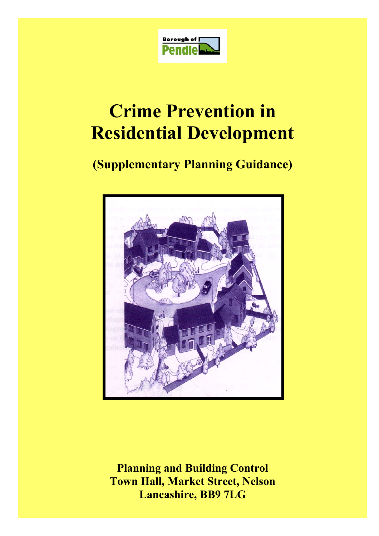

# **Crime Prevention in Residential Development**

# **(Supplementary Planning Guidance)**



**Planning and Building Control Town Hall, Market Street, Nelson Lancashire, BB9 7LG**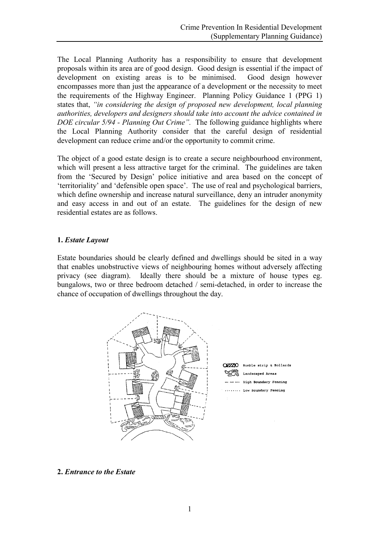The Local Planning Authority has a responsibility to ensure that development proposals within its area are of good design. Good design is essential if the impact of development on existing areas is to be minimised. Good design however encompasses more than just the appearance of a development or the necessity to meet the requirements of the Highway Engineer. Planning Policy Guidance 1 (PPG 1) states that, *"in considering the design of proposed new development, local planning authorities, developers and designers should take into account the advice contained in DOE circular 5/94 - Planning Out Crime".* The following guidance highlights where the Local Planning Authority consider that the careful design of residential development can reduce crime and/or the opportunity to commit crime.

The object of a good estate design is to create a secure neighbourhood environment, which will present a less attractive target for the criminal. The guidelines are taken from the 'Secured by Design' police initiative and area based on the concept of 'territoriality' and 'defensible open space'. The use of real and psychological barriers, which define ownership and increase natural surveillance, deny an intruder anonymity and easy access in and out of an estate. The guidelines for the design of new residential estates are as follows.

# **1.** *Estate Layout*

Estate boundaries should be clearly defined and dwellings should be sited in a way that enables unobstructive views of neighbouring homes without adversely affecting privacy (see diagram). Ideally there should be a mixture of house types eg. bungalows, two or three bedroom detached / semi-detached, in order to increase the chance of occupation of dwellings throughout the day.



#### **2.** *Entrance to the Estate*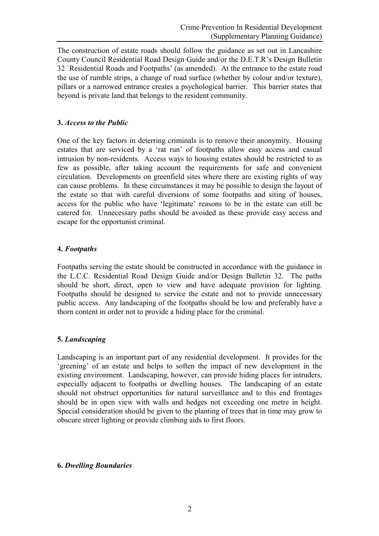The construction of estate roads should follow the guidance as set out in Lancashire County Council Residential Road Design Guide and/or the D.E.T.R's Design Bulletin 32 `Residential Roads and Footpaths' (as amended). At the entrance to the estate road the use of rumble strips, a change of road surface (whether by colour and/or texture), pillars or a narrowed entrance creates a psychological barrier. This barrier states that beyond is private land that belongs to the resident community.

## **3.** *Access to the Public*

One of the key factors in deterring criminals is to remove their anonymity. Housing estates that are serviced by a 'rat run' of footpaths allow easy access and casual intrusion by non-residents. Access ways to housing estates should be restricted to as few as possible, after taking account the requirements for safe and convenient circulation. Developments on greenfield sites where there are existing rights of way can cause problems. In these circumstances it may be possible to design the layout of the estate so that with careful diversions of some footpaths and siting of houses, access for the public who have 'legitimate' reasons to be in the estate can still be catered for. Unnecessary paths should be avoided as these provide easy access and escape for the opportunist criminal.

#### **4.** *Footpaths*

Footpaths serving the estate should be constructed in accordance with the guidance in the L.C.C. Residential Road Design Guide and/or Design Bulletin 32. The paths should be short, direct, open to view and have adequate provision for lighting. Footpaths should be designed to service the estate and not to provide unnecessary public access. Any landscaping of the footpaths should be low and preferably have a thorn content in order not to provide a hiding place for the criminal.

# **5.** *Landscaping*

Landscaping is an important part of any residential development. It provides for the 'greening' of an estate and helps to soften the impact of new development in the existing environment. Landscaping, however, can provide hiding places for intruders, especially adjacent to footpaths or dwelling houses. The landscaping of an estate should not obstruct opportunities for natural surveillance and to this end frontages should be in open view with walls and hedges not exceeding one metre in height. Special consideration should be given to the planting of trees that in time may grow to obscure street lighting or provide climbing aids to first floors.

#### **6.** *Dwelling Boundaries*